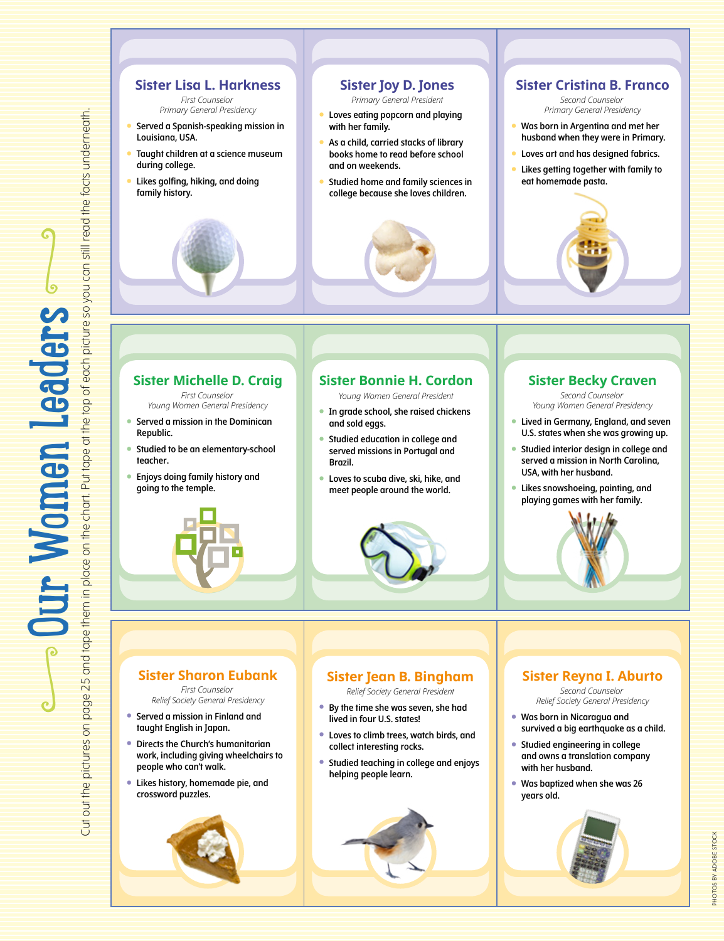# **Sister Lisa L. Harkness** *Primary General Presidency* Cut out the pictures on page 25 and tape them in place on the chart. Put tape at the top of each picture so you can still read the facts underneath. Cut out the pictures on page 25 and tape them in place on the chart. Put tape at the top of each picture so you can still read the facts underneath. **• Served a Spanish-speaking mission in Louisiana, USA. • Taught children at a science museum during college. • Likes golfing, hiking, and doing family history.**  $\sim$  our Women Leaders  $\sim$ **Ir Women Leaders 24** Our Women Leaders

**Sister Michelle D. Craig**

*First Counselor Young Women General Presidency*

*First Counselor*

- **• Served a mission in the Dominican Republic.**
- **• Studied to be an elementary-school teacher.**
- **• Enjoys doing family history and going to the temple.**



## **Sister Joy D. Jones**

*Primary General President*

- **• Loves eating popcorn and playing with her family.**
- **• As a child, carried stacks of library books home to read before school and on weekends.**
- **• Studied home and family sciences in college because she loves children.**



#### **Sister Cristina B. Franco**

*Second Counselor Primary General Presidency*

- **• Was born in Argentina and met her husband when they were in Primary.**
- 
- **• Loves art and has designed fabrics. • Likes getting together with family to eat homemade pasta.**



### **Sister Bonnie H. Cordon**

*Young Women General President*

- **• In grade school, she raised chickens and sold eggs.**
- **• Studied education in college and served missions in Portugal and Brazil.**
- **• Loves to scuba dive, ski, hike, and meet people around the world.**



#### **Sister Becky Craven**

*Second Counselor Young Women General Presidency*

- **• Lived in Germany, England, and seven U.S. states when she was growing up.**
- **• Studied interior design in college and served a mission in North Carolina, USA, with her husband.**
- **• Likes snowshoeing, painting, and playing games with her family.**



#### **Sister Sharon Eubank**

*First Counselor Relief Society General Presidency*

- **• Served a mission in Finland and taught English in Japan.**
- **• Directs the Church's humanitarian work, including giving wheelchairs to people who can't walk.**
- **• Likes history, homemade pie, and crossword puzzles.**





- *Relief Society General President*
- **• By the time she was seven, she had lived in four U.S. states!**
- **• Loves to climb trees, watch birds, and collect interesting rocks.**
- **• Studied teaching in college and enjoys helping people learn.**



## **Sister Reyna I. Aburto**

*Second Counselor Relief Society General Presidency*

- **• Was born in Nicaragua and survived a big earthquake as a child.**
- **• Studied engineering in college and owns a translation company with her husband.**
- **• Was baptized when she was 26 years old.**